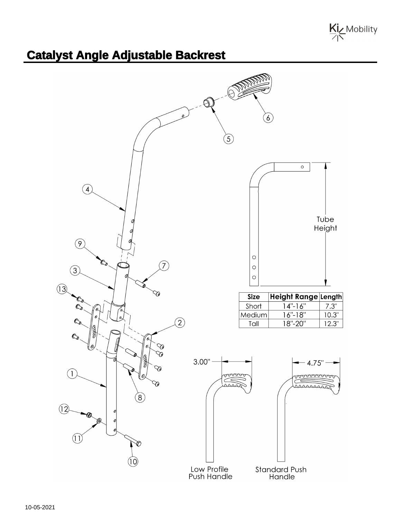Kiz Mobility

## **Catalyst Angle Adjustable Backrest**

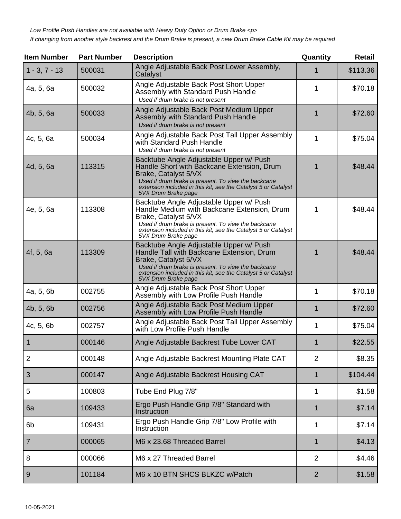| <b>Item Number</b> | <b>Part Number</b> | <b>Description</b>                                                                                                                                                                                                                                             | Quantity       | <b>Retail</b> |
|--------------------|--------------------|----------------------------------------------------------------------------------------------------------------------------------------------------------------------------------------------------------------------------------------------------------------|----------------|---------------|
| $1 - 3, 7 - 13$    | 500031             | Angle Adjustable Back Post Lower Assembly,<br>Catalyst                                                                                                                                                                                                         | 1              | \$113.36      |
| 4a, 5, 6a          | 500032             | Angle Adjustable Back Post Short Upper<br>Assembly with Standard Push Handle<br>Used if drum brake is not present                                                                                                                                              | 1              | \$70.18       |
| 4b, 5, 6a          | 500033             | Angle Adjustable Back Post Medium Upper<br>Assembly with Standard Push Handle<br>Used if drum brake is not present                                                                                                                                             | 1              | \$72.60       |
| 4c, 5, 6a          | 500034             | Angle Adjustable Back Post Tall Upper Assembly<br>with Standard Push Handle<br>Used if drum brake is not present                                                                                                                                               | 1              | \$75.04       |
| 4d, 5, 6a          | 113315             | Backtube Angle Adjustable Upper w/ Push<br>Handle Short with Backcane Extension, Drum<br>Brake, Catalyst 5/VX<br>Used if drum brake is present. To view the backcane<br>extension included in this kit, see the Catalyst 5 or Catalyst<br>5VX Drum Brake page  | 1              | \$48.44       |
| 4e, 5, 6a          | 113308             | Backtube Angle Adjustable Upper w/ Push<br>Handle Medium with Backcane Extension, Drum<br>Brake, Catalyst 5/VX<br>Used if drum brake is present. To view the backcane<br>extension included in this kit, see the Catalyst 5 or Catalyst<br>5VX Drum Brake page | 1              | \$48.44       |
| 4f, 5, 6a          | 113309             | Backtube Angle Adjustable Upper w/ Push<br>Handle Tall with Backcane Extension, Drum<br>Brake, Catalyst 5/VX<br>Used if drum brake is present. To view the backcane<br>extension included in this kit, see the Catalyst 5 or Catalyst<br>5VX Drum Brake page   | 1              | \$48.44       |
| 4a, 5, 6b          | 002755             | Angle Adjustable Back Post Short Upper<br>Assembly with Low Profile Push Handle                                                                                                                                                                                | 1              | \$70.18       |
| 4b, 5, 6b          | 002756             | Angle Adjustable Back Post Medium Upper<br>Assembly with Low Profile Push Handle                                                                                                                                                                               | $\mathbf 1$    | \$72.60       |
| 4c, 5, 6b          | 002757             | Angle Adjustable Back Post Tall Upper Assembly<br>with Low Profile Push Handle                                                                                                                                                                                 | 1              | \$75.04       |
|                    | 000146             | Angle Adjustable Backrest Tube Lower CAT                                                                                                                                                                                                                       | 1              | \$22.55       |
| $\overline{2}$     | 000148             | Angle Adjustable Backrest Mounting Plate CAT                                                                                                                                                                                                                   | $\overline{2}$ | \$8.35        |
| 3                  | 000147             | Angle Adjustable Backrest Housing CAT                                                                                                                                                                                                                          | $\mathbf 1$    | \$104.44      |
| 5                  | 100803             | Tube End Plug 7/8"                                                                                                                                                                                                                                             | 1              | \$1.58        |
| 6a                 | 109433             | Ergo Push Handle Grip 7/8" Standard with<br>Instruction                                                                                                                                                                                                        | 1              | \$7.14        |
| 6 <sub>b</sub>     | 109431             | Ergo Push Handle Grip 7/8" Low Profile with<br>Instruction                                                                                                                                                                                                     | 1              | \$7.14        |
| $\overline{7}$     | 000065             | M6 x 23.68 Threaded Barrel                                                                                                                                                                                                                                     | $\mathbf 1$    | \$4.13        |
| 8                  | 000066             | M6 x 27 Threaded Barrel                                                                                                                                                                                                                                        | $\overline{2}$ | \$4.46        |
| 9                  | 101184             | M6 x 10 BTN SHCS BLKZC w/Patch                                                                                                                                                                                                                                 | $\overline{2}$ | \$1.58        |